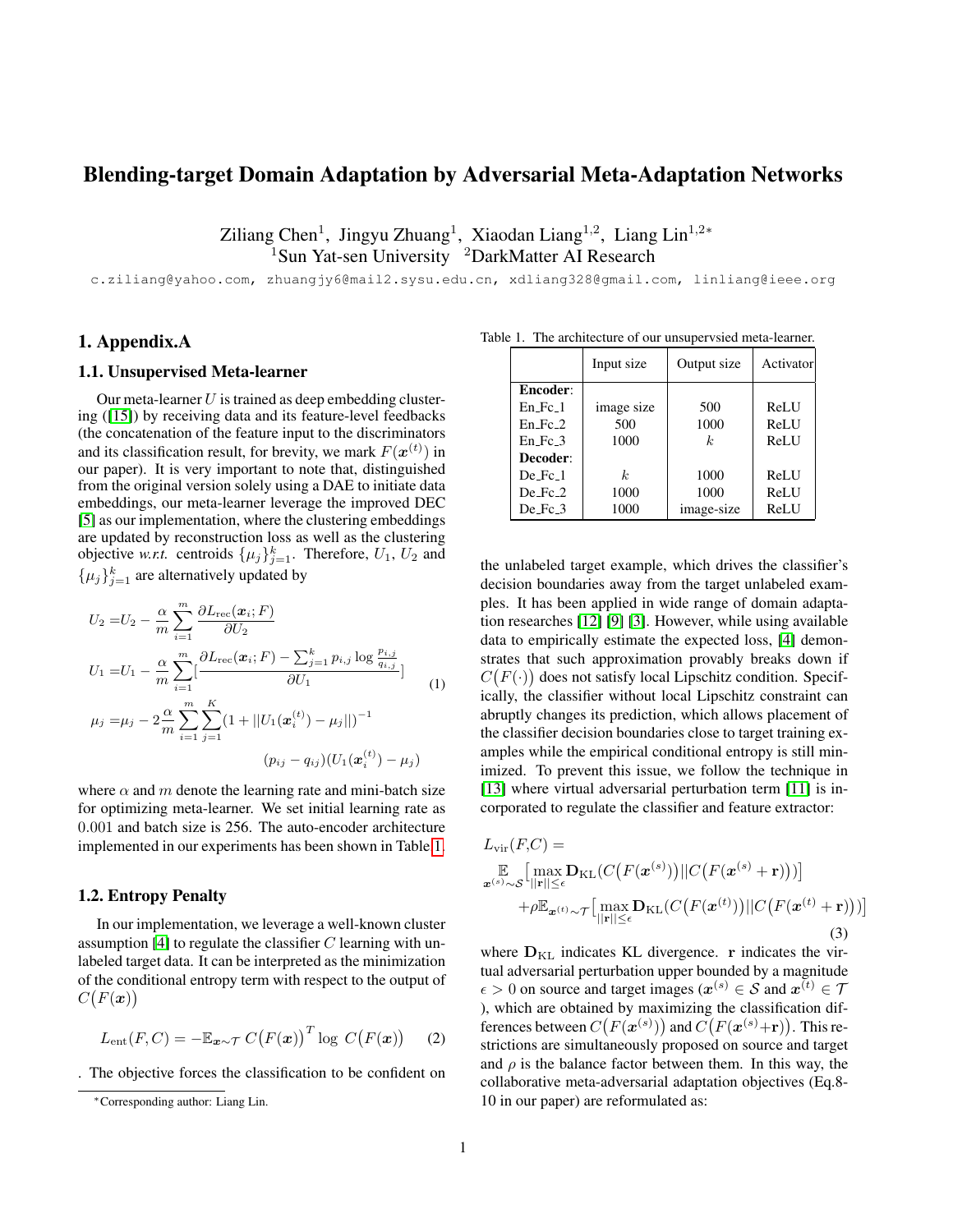# Blending-target Domain Adaptation by Adversarial Meta-Adaptation Networks

Ziliang Chen<sup>1</sup>, Jingyu Zhuang<sup>1</sup>, Xiaodan Liang<sup>1,2</sup>, Liang Lin<sup>1,2\*</sup> <sup>1</sup>Sun Yat-sen University <sup>2</sup>DarkMatter AI Research

c.ziliang@yahoo.com, zhuangjy6@mail2.sysu.edu.cn, xdliang328@gmail.com, linliang@ieee.org

# 1. Appendix.A

#### 1.1. Unsupervised Meta-learner

Our meta-learner  $U$  is trained as deep embedding clustering ([\[15\]](#page-5-0)) by receiving data and its feature-level feedbacks (the concatenation of the feature input to the discriminators and its classification result, for brevity, we mark  $F(\boldsymbol{x}^{(t)})$  in our paper). It is very important to note that, distinguished from the original version solely using a DAE to initiate data embeddings, our meta-learner leverage the improved DEC [\[5\]](#page-3-0) as our implementation, where the clustering embeddings are updated by reconstruction loss as well as the clustering objective *w.r.t.* centroids  $\{\mu_j\}_{j=1}^k$ . Therefore,  $U_1$ ,  $U_2$  and  $\{\mu_j\}_{j=1}^k$  are alternatively updated by

$$
U_2 = U_2 - \frac{\alpha}{m} \sum_{i=1}^{m} \frac{\partial L_{\text{rec}}(\boldsymbol{x}_i; F)}{\partial U_2}
$$
  
\n
$$
U_1 = U_1 - \frac{\alpha}{m} \sum_{i=1}^{m} \left[ \frac{\partial L_{\text{rec}}(\boldsymbol{x}_i; F) - \sum_{j=1}^{k} p_{i,j} \log \frac{p_{i,j}}{q_{i,j}}}{\partial U_1} \right]
$$
  
\n
$$
\mu_j = \mu_j - 2 \frac{\alpha}{m} \sum_{i=1}^{m} \sum_{j=1}^{K} \left( 1 + ||U_1(\boldsymbol{x}_i^{(t)}) - \mu_j|| \right)^{-1}
$$
  
\n
$$
(p_{ij} - q_{ij})(U_1(\boldsymbol{x}_i^{(t)}) - \mu_j)
$$

where  $\alpha$  and m denote the learning rate and mini-batch size for optimizing meta-learner. We set initial learning rate as 0.001 and batch size is 256. The auto-encoder architecture implemented in our experiments has been shown in Table[.1.](#page-0-0)

#### 1.2. Entropy Penalty

In our implementation, we leverage a well-known cluster assumption [\[4\]](#page-3-1) to regulate the classifier  $C$  learning with unlabeled target data. It can be interpreted as the minimization of the conditional entropy term with respect to the output of  $C(F(\boldsymbol{x}))$ 

$$
L_{\text{ent}}(F, C) = -\mathbb{E}_{\boldsymbol{x} \sim \mathcal{T}} C(F(\boldsymbol{x}))^T \log C(F(\boldsymbol{x})) \qquad (2)
$$

. The objective forces the classification to be confident on

Table 1. The architecture of our unsupervsied meta-learner.

<span id="page-0-0"></span>

|                        | Input size | Output size    | Activator |
|------------------------|------------|----------------|-----------|
| Encoder:               |            |                |           |
| En Fc 1                | image size | 500            | ReLU      |
| $En$ Fc $2$            | 500        | 1000           | ReLU      |
| $En_Fc_3$              | 1000       | k <sub>i</sub> | ReLU      |
| Decoder:               |            |                |           |
| $De$ Fc $\overline{1}$ | k.         | 1000           | ReLU      |
| $De_Fc_2$              | 1000       | 1000           | ReLU      |
| $De_Fc_3$              | 1000       | image-size     | ReLU      |

the unlabeled target example, which drives the classifier's decision boundaries away from the target unlabeled examples. It has been applied in wide range of domain adaptation researches [\[12\]](#page-4-0) [\[9\]](#page-3-2) [\[3\]](#page-3-3). However, while using available data to empirically estimate the expected loss, [\[4\]](#page-3-1) demonstrates that such approximation provably breaks down if  $C(F(\cdot))$  does not satisfy local Lipschitz condition. Specifically, the classifier without local Lipschitz constraint can abruptly changes its prediction, which allows placement of the classifier decision boundaries close to target training examples while the empirical conditional entropy is still minimized. To prevent this issue, we follow the technique in [\[13\]](#page-4-1) where virtual adversarial perturbation term [\[11\]](#page-4-2) is incorporated to regulate the classifier and feature extractor:

$$
L_{\text{vir}}(F,C) = \mathbb{E}_{\mathbf{x}^{(s)} \sim \mathcal{S}} \left[ \max_{\|\mathbf{r}\| \leq \epsilon} \mathbf{D}_{\text{KL}}(C(F(\mathbf{x}^{(s)})) || C(F(\mathbf{x}^{(s)} + \mathbf{r}))) \right] + \rho \mathbb{E}_{\mathbf{x}^{(t)} \sim \mathcal{T}} \left[ \max_{\|\mathbf{r}\| \leq \epsilon} \mathbf{D}_{\text{KL}}(C(F(\mathbf{x}^{(t)})) || C(F(\mathbf{x}^{(t)} + \mathbf{r}))) \right]
$$
\n(3)

where  $D_{\text{KL}}$  indicates KL divergence. r indicates the virtual adversarial perturbation upper bounded by a magnitude  $\epsilon > 0$  on source and target images ( $x^{(s)} \in \mathcal{S}$  and  $x^{(t)} \in \mathcal{T}$ ), which are obtained by maximizing the classification differences between  $C(F(\boldsymbol{x}^{(s)}))$  and  $C(F(\boldsymbol{x}^{(s)}+\mathbf{r}))$ . This restrictions are simultaneously proposed on source and target and  $\rho$  is the balance factor between them. In this way, the collaborative meta-adversarial adaptation objectives (Eq.8- 10 in our paper) are reformulated as:

<sup>∗</sup>Corresponding author: Liang Lin.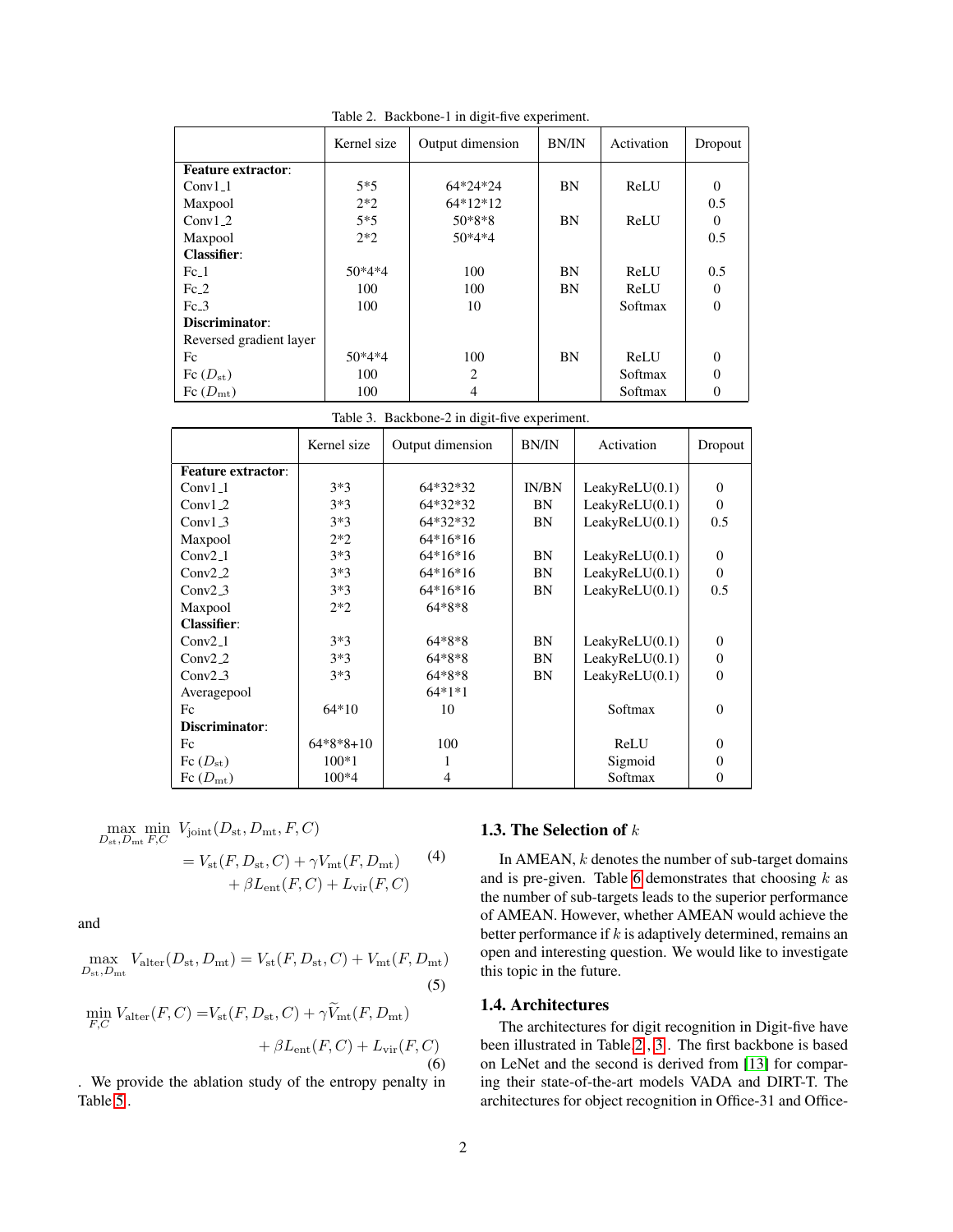|                           | Kernel size | Output dimension | <b>BN/IN</b> | Activation | Dropout  |
|---------------------------|-------------|------------------|--------------|------------|----------|
| <b>Feature extractor:</b> |             |                  |              |            |          |
| $Conv1_1$                 | $5*5$       | $64*24*24$       | BN           | ReLU       | $\Omega$ |
| Maxpool                   | $2*2$       | $64*12*12$       |              |            | 0.5      |
| $Conv1_2$                 | $5*5$       | $50*8*8$         | BN           | ReLU       | $\Omega$ |
| Maxpool                   | $2*2$       | $50*4*4$         |              |            | 0.5      |
| <b>Classifier:</b>        |             |                  |              |            |          |
| $Fc_1$                    | $50*4*4$    | 100              | BN           | ReLU       | 0.5      |
| $Fc_2$                    | 100         | 100              | BN           | ReLU       | $\Omega$ |
| $Fc_3$                    | 100         | 10               |              | Softmax    | $\theta$ |
| Discriminator:            |             |                  |              |            |          |
| Reversed gradient layer   |             |                  |              |            |          |
| Fc                        | $50*4*4$    | 100              | BN           | ReLU       | $\Omega$ |
| Fc $(D_{\rm st})$         | 100         | $\overline{c}$   |              | Softmax    | $\Omega$ |
| Fc $(D_{\rm mt})$         | 100         | 4                |              | Softmax    | 0        |

<span id="page-1-0"></span>Table 2. Backbone-1 in digit-five experiment.

<span id="page-1-1"></span>Table 3. Backbone-2 in digit-five experiment.

|                           | Kernel size | Output dimension | <b>BN/IN</b> | Activation     | Dropout        |
|---------------------------|-------------|------------------|--------------|----------------|----------------|
| <b>Feature extractor:</b> |             |                  |              |                |                |
| $Conv1_1$                 | $3*3$       | 64*32*32         | IN/BN        | LeakyReLU(0.1) | $\mathbf{0}$   |
| $Conv1_2$                 | $3*3$       | 64*32*32         | BN           | LeakyReLU(0.1) | $\Omega$       |
| $Conv1_3$                 | $3*3$       | 64*32*32         | BN           | LeakyReLU(0.1) | 0.5            |
| Maxpool                   | $2*2$       | $64*16*16$       |              |                |                |
| $Conv2_1$                 | $3*3$       | $64*16*16$       | BN           | LeakyReLU(0.1) | $\mathbf{0}$   |
| $Conv2_2$                 | $3*3$       | 64*16*16         | BN           | LeakyReLU(0.1) | $\Omega$       |
| $Conv2_3$                 | $3*3$       | $64*16*16$       | BN           | LeakyReLU(0.1) | 0.5            |
| Maxpool                   | $2*2$       | $64*8*8$         |              |                |                |
| <b>Classifier:</b>        |             |                  |              |                |                |
| $Conv2_1$                 | $3*3$       | $64*8*8$         | BN           | LeakyReLU(0.1) | $\mathbf{0}$   |
| $Conv2_2$                 | $3*3$       | $64*8*8$         | BN           | LeakyReLU(0.1) | $\overline{0}$ |
| $Conv2_3$                 | $3*3$       | $64*8*8$         | BN           | LeakyReLU(0.1) | $\overline{0}$ |
| Averagepool               |             | $64*1*1$         |              |                |                |
| Fc                        | $64*10$     | 10               |              | Softmax        | $\Omega$       |
| Discriminator:            |             |                  |              |                |                |
| Fc                        | $64*8*8+10$ | 100              |              | ReLU           | $\overline{0}$ |
| Fc $(D_{\rm st})$         | $100*1$     | 1                |              | Sigmoid        | $\overline{0}$ |
| Fc $(D_{\rm mt})$         | 100*4       | 4                |              | Softmax        | $\overline{0}$ |

$$
\max_{D_{\text{st}}, D_{\text{mt}} F, C} \min_{F, C} V_{\text{joint}}(D_{\text{st}}, D_{\text{mt}}, F, C)
$$
  
=  $V_{\text{st}}(F, D_{\text{st}}, C) + \gamma V_{\text{mt}}(F, D_{\text{mt}})$  (4)  
+  $\beta L_{\text{ent}}(F, C) + L_{\text{vir}}(F, C)$ 

and

$$
\max_{D_{\rm st}, D_{\rm mt}} V_{\rm alter}(D_{\rm st}, D_{\rm mt}) = V_{\rm st}(F, D_{\rm st}, C) + V_{\rm mt}(F, D_{\rm mt})
$$
\n(5)

$$
\min_{F,C} V_{\text{alter}}(F,C) = V_{\text{st}}(F, D_{\text{st}}, C) + \gamma \tilde{V}_{\text{mt}}(F, D_{\text{mt}}) + \beta L_{\text{ent}}(F, C) + L_{\text{vir}}(F, C)
$$
\n(6)

. We provide the ablation study of the entropy penalty in Table [5](#page-2-0) .

# 1.3. The Selection of  $k$

In AMEAN,  $k$  denotes the number of sub-target domains and is pre-given. Table [6](#page-2-1) demonstrates that choosing  $k$  as the number of sub-targets leads to the superior performance of AMEAN. However, whether AMEAN would achieve the better performance if  $k$  is adaptively determined, remains an open and interesting question. We would like to investigate this topic in the future.

# 1.4. Architectures

The architectures for digit recognition in Digit-five have been illustrated in Table[.2](#page-1-0) , [3](#page-1-1) . The first backbone is based on LeNet and the second is derived from [\[13\]](#page-4-1) for comparing their state-of-the-art models VADA and DIRT-T. The architectures for object recognition in Office-31 and Office-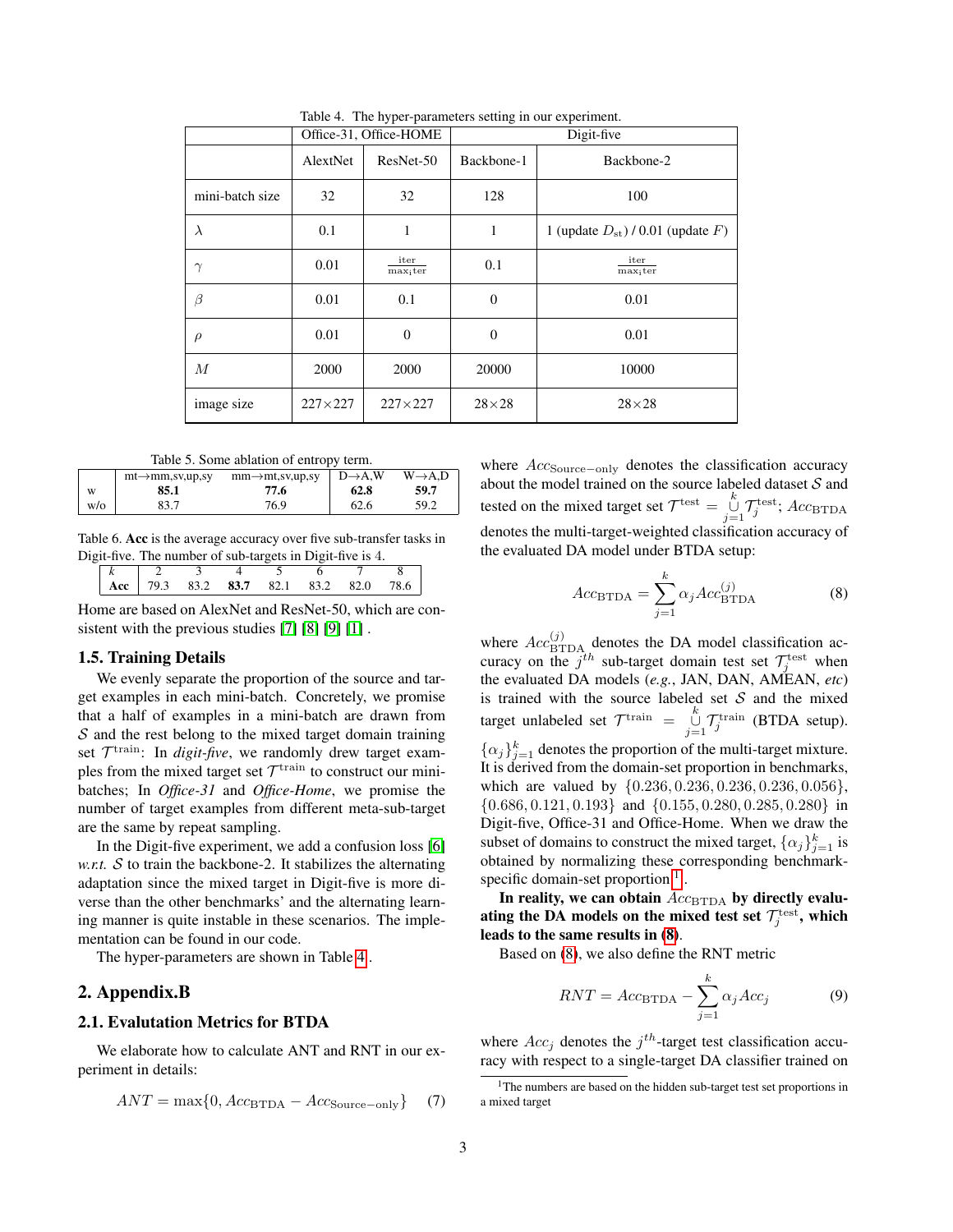|                  |                | Office-31, Office-HOME |                                             | Digit-five          |  |  |  |
|------------------|----------------|------------------------|---------------------------------------------|---------------------|--|--|--|
|                  | AlextNet       | ResNet-50              | Backbone-1                                  | Backbone-2          |  |  |  |
| mini-batch size  | 32             | 32                     | 128                                         | 100                 |  |  |  |
| $\lambda$        | 0.1            | 1                      | 1<br>1 (update $D_{st}$ ) / 0.01 (update F) |                     |  |  |  |
| $\gamma$         | 0.01           | iter<br>$max_i ter$    | 0.1                                         | iter<br>$max_i ter$ |  |  |  |
| β                | 0.01           | 0.1                    | $\theta$                                    | 0.01                |  |  |  |
| $\rho$           | 0.01           | $\theta$               | $\overline{0}$                              | 0.01                |  |  |  |
| $\boldsymbol{M}$ | 2000<br>2000   |                        | 20000                                       | 10000               |  |  |  |
| image size       | $227\times227$ | $227\times227$         | $28\times28$                                | $28\times28$        |  |  |  |

<span id="page-2-2"></span>Table 4. The hyper-parameters setting in our experiment.

<span id="page-2-0"></span>Table 5. Some ablation of entropy term.

|     | $mt \rightarrow mm$ ,sv,up,sy | $mm \rightarrow mt, sv, up, sy$ | $D\rightarrow A.W$ | $W\rightarrow A.D$ |
|-----|-------------------------------|---------------------------------|--------------------|--------------------|
| W   | 85.1                          | 77.6                            | 62.8               | 59.7               |
| W/O | 83.7                          | 76.9                            | 62.6               | 59.2               |

Table 6. Acc is the average accuracy over five sub-transfer tasks in Digit-five. The number of sub-targets in Digit-five is 4.

<span id="page-2-1"></span>

| $k \mid 2 \mid 3$ |  |                                                        |  |
|-------------------|--|--------------------------------------------------------|--|
|                   |  | $\vert$ Acc $\vert$ 79.3 83.2 83.7 82.1 83.2 82.0 78.6 |  |

Home are based on AlexNet and ResNet-50, which are consistent with the previous studies [\[7\]](#page-3-4) [\[8\]](#page-3-5) [\[9\]](#page-3-2) [\[1\]](#page-3-6) .

#### 1.5. Training Details

We evenly separate the proportion of the source and target examples in each mini-batch. Concretely, we promise that a half of examples in a mini-batch are drawn from  $S$  and the rest belong to the mixed target domain training set  $\mathcal{T}^{\text{train}}$ : In *digit-five*, we randomly drew target examples from the mixed target set  $\mathcal{T}^{\text{train}}$  to construct our minibatches; In *Office-31* and *Office-Home*, we promise the number of target examples from different meta-sub-target are the same by repeat sampling.

In the Digit-five experiment, we add a confusion loss [\[6\]](#page-3-7) *w.r.t.*  $S$  to train the backbone-2. It stabilizes the alternating adaptation since the mixed target in Digit-five is more diverse than the other benchmarks' and the alternating learning manner is quite instable in these scenarios. The implementation can be found in our code.

The hyper-parameters are shown in Table [4](#page-2-2) .

### 2. Appendix.B

#### 2.1. Evalutation Metrics for BTDA

We elaborate how to calculate ANT and RNT in our experiment in details:

<span id="page-2-5"></span>
$$
ANT = \max\{0, Acc_{\text{BTDA}} - Acc_{\text{Source-only}}\} \tag{7}
$$

where  $Acc$ <sub>Source−only</sub> denotes the classification accuracy about the model trained on the source labeled dataset  $S$  and tested on the mixed target set  $\mathcal{T}^{\text{test}} = \bigcup_{i=1}^{k} \mathcal{T}^{\text{test}}_j$ ;  $Acc_{\text{BTDA}}$  $j=1$ denotes the multi-target-weighted classification accuracy of the evaluated DA model under BTDA setup:

<span id="page-2-4"></span>
$$
Acc_{\text{BTDA}} = \sum_{j=1}^{k} \alpha_j Acc_{\text{BTDA}}^{(j)}
$$
(8)

where  $Acc_{\text{BTDA}}^{(j)}$  denotes the DA model classification accuracy on the  $j^{th}$  sub-target domain test set  $\mathcal{T}_j^{\text{test}}$  when the evaluated DA models (*e.g.*, JAN, DAN, AMEAN, *etc*) is trained with the source labeled set  $S$  and the mixed target unlabeled set  $\mathcal{T}^{\text{train}} = \bigcup_{j=1}^{k} \mathcal{T}^{\text{train}}_j$  (BTDA setup).  $\{\alpha_j\}_{j=1}^k$  denotes the proportion of the multi-target mixture. It is derived from the domain-set proportion in benchmarks, which are valued by {0.236, 0.236, 0.236, 0.236, 0.056}, {0.686, 0.121, 0.193} and {0.155, 0.280, 0.285, 0.280} in Digit-five, Office-31 and Office-Home. When we draw the subset of domains to construct the mixed target,  $\{\alpha_j\}_{j=1}^k$  is obtained by normalizing these corresponding benchmarkspecific domain-set proportion  $<sup>1</sup>$  $<sup>1</sup>$  $<sup>1</sup>$ .</sup>

In reality, we can obtain  $Acc_{\text{BTDA}}$  by directly evaluating the DA models on the mixed test set  $\mathcal{T}^{\text{test}}_j$ , which leads to the same results in [\(8\)](#page-2-4).

Based on [\(8\)](#page-2-4), we also define the RNT metric

<span id="page-2-6"></span>
$$
RNT = Acc_{\text{BTDA}} - \sum_{j=1}^{k} \alpha_j Acc_j \tag{9}
$$

where  $Acc_j$  denotes the  $j^{th}$ -target test classification accuracy with respect to a single-target DA classifier trained on

<span id="page-2-3"></span><sup>&</sup>lt;sup>1</sup>The numbers are based on the hidden sub-target test set proportions in a mixed target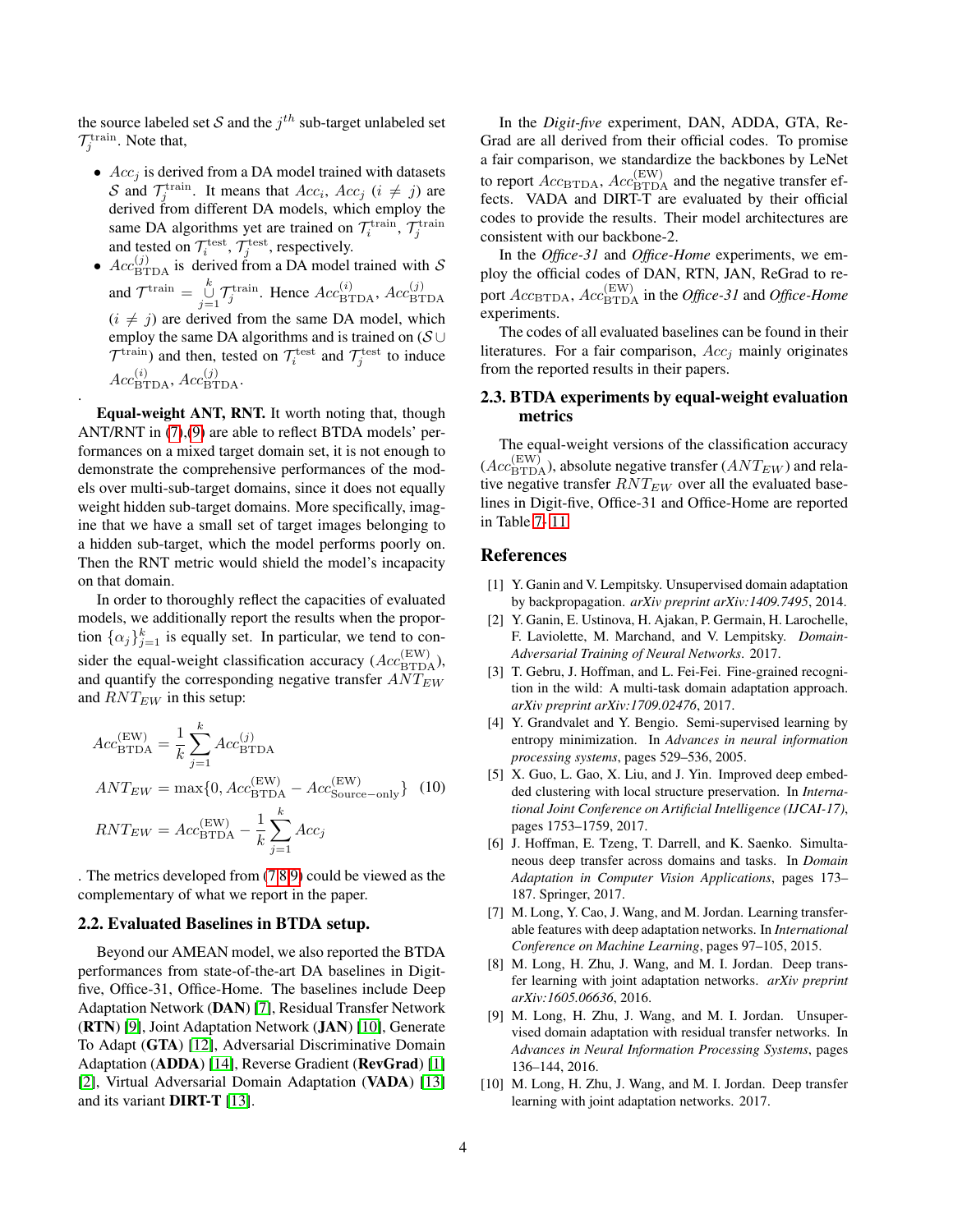the source labeled set S and the  $j^{th}$  sub-target unlabeled set  $\mathcal{T}^{\text{train}}_j$ . Note that,

- $Acc<sub>j</sub>$  is derived from a DA model trained with datasets S and  $\mathcal{T}_j^{\text{train}}$ . It means that  $Acc_i$ ,  $Acc_j$   $(i \neq j)$  are derived from different DA models, which employ the same DA algorithms yet are trained on  $\mathcal{T}_i^{\text{train}}, \mathcal{T}_j^{\text{train}}$ and tested on  $\mathcal{T}_i^{\text{test}}, \mathcal{T}_j^{\text{test}},$  respectively.
- $Acc^{(j)}_{\text{BTDA}}$  is derived from a DA model trained with S and  $\mathcal{T}^{\text{train}} = \bigcup_{j=1}^{k} \mathcal{T}^{\text{train}}_j$ . Hence  $Acc^{(i)}_{\text{BTDA}}$ ,  $Acc^{(j)}_{\text{BTDA}}$  $(i \neq j)$  are derived from the same DA model, which employ the same DA algorithms and is trained on ( $\mathcal{S} \cup$  $\mathcal{T}^{\text{train}}$ ) and then, tested on  $\mathcal{T}^{\text{test}}_i$  and  $\mathcal{T}^{\text{test}}_j$  to induce  $Acc^{(i)}_{\text{BTDA}}, Acc^{(j)}_{\text{BTDA}}.$

Equal-weight ANT, RNT. It worth noting that, though ANT/RNT in [\(7\)](#page-2-5),[\(9\)](#page-2-6) are able to reflect BTDA models' performances on a mixed target domain set, it is not enough to demonstrate the comprehensive performances of the models over multi-sub-target domains, since it does not equally weight hidden sub-target domains. More specifically, imagine that we have a small set of target images belonging to a hidden sub-target, which the model performs poorly on. Then the RNT metric would shield the model's incapacity on that domain.

.

In order to thoroughly reflect the capacities of evaluated models, we additionally report the results when the proportion  $\{\alpha_j\}_{j=1}^k$  is equally set. In particular, we tend to consider the equal-weight classification accuracy  $(Acc_{\text{BTDA}}^{(\text{EW})})$ , and quantify the corresponding negative transfer  $ANT_{EW}$ and  $RNT_{EW}$  in this setup:

<span id="page-3-10"></span>
$$
Acc_{\text{BTDA}}^{(\text{EW})} = \frac{1}{k} \sum_{j=1}^{k} Acc_{\text{BTDA}}^{(j)}
$$

$$
ANT_{EW} = \max\{0, Acc_{\text{BTDA}}^{(\text{EW})} - Acc_{\text{Source-only}}^{(\text{EW})}\} \quad (10)
$$

$$
RNT_{EW} = Acc_{\text{BTDA}}^{(\text{EW})} - \frac{1}{k} \sum_{j=1}^{k} Acc_j
$$

. The metrics developed from [\(7](#page-2-5) [8](#page-2-4) [9\)](#page-2-6) could be viewed as the complementary of what we report in the paper.

### 2.2. Evaluated Baselines in BTDA setup.

Beyond our AMEAN model, we also reported the BTDA performances from state-of-the-art DA baselines in Digitfive, Office-31, Office-Home. The baselines include Deep Adaptation Network (DAN) [\[7\]](#page-3-4), Residual Transfer Network (RTN) [\[9\]](#page-3-2), Joint Adaptation Network (JAN) [\[10\]](#page-3-8), Generate To Adapt (GTA) [\[12\]](#page-4-0), Adversarial Discriminative Domain Adaptation (ADDA) [\[14\]](#page-5-1), Reverse Gradient (RevGrad) [\[1\]](#page-3-6) [\[2\]](#page-3-9), Virtual Adversarial Domain Adaptation (VADA) [\[13\]](#page-4-1) and its variant DIRT-T [\[13\]](#page-4-1).

In the *Digit-five* experiment, DAN, ADDA, GTA, Re-Grad are all derived from their official codes. To promise a fair comparison, we standardize the backbones by LeNet to report  $Acc_{\text{BTDA}}$ ,  $Acc_{\text{BTDA}}^{(\text{EW})}$  and the negative transfer effects. VADA and DIRT-T are evaluated by their official codes to provide the results. Their model architectures are consistent with our backbone-2.

In the *Office-31* and *Office-Home* experiments, we employ the official codes of DAN, RTN, JAN, ReGrad to report  $Acc_{\text{BTDA}}$ ,  $Acc_{\text{BTDA}}^{(\text{EW})}$  in the *Office-31* and *Office-Home* experiments.

The codes of all evaluated baselines can be found in their literatures. For a fair comparison,  $Acc<sub>i</sub>$  mainly originates from the reported results in their papers.

### 2.3. BTDA experiments by equal-weight evaluation metrics

The equal-weight versions of the classification accuracy  $(Acc^{(\text{EW})}_{\text{BTDA}})$ , absolute negative transfer  $(ANT_{EW})$  and relative negative transfer  $RNT_{EW}$  over all the evaluated baselines in Digit-five, Office-31 and Office-Home are reported in Table [7-](#page-4-3) [11.](#page-4-4)

## References

- <span id="page-3-6"></span>[1] Y. Ganin and V. Lempitsky. Unsupervised domain adaptation by backpropagation. *arXiv preprint arXiv:1409.7495*, 2014.
- <span id="page-3-9"></span>[2] Y. Ganin, E. Ustinova, H. Ajakan, P. Germain, H. Larochelle, F. Laviolette, M. Marchand, and V. Lempitsky. *Domain-Adversarial Training of Neural Networks*. 2017.
- <span id="page-3-3"></span>[3] T. Gebru, J. Hoffman, and L. Fei-Fei. Fine-grained recognition in the wild: A multi-task domain adaptation approach. *arXiv preprint arXiv:1709.02476*, 2017.
- <span id="page-3-1"></span>[4] Y. Grandvalet and Y. Bengio. Semi-supervised learning by entropy minimization. In *Advances in neural information processing systems*, pages 529–536, 2005.
- <span id="page-3-0"></span>[5] X. Guo, L. Gao, X. Liu, and J. Yin. Improved deep embedded clustering with local structure preservation. In *International Joint Conference on Artificial Intelligence (IJCAI-17)*, pages 1753–1759, 2017.
- <span id="page-3-7"></span>[6] J. Hoffman, E. Tzeng, T. Darrell, and K. Saenko. Simultaneous deep transfer across domains and tasks. In *Domain Adaptation in Computer Vision Applications*, pages 173– 187. Springer, 2017.
- <span id="page-3-4"></span>[7] M. Long, Y. Cao, J. Wang, and M. Jordan. Learning transferable features with deep adaptation networks. In *International Conference on Machine Learning*, pages 97–105, 2015.
- <span id="page-3-5"></span>[8] M. Long, H. Zhu, J. Wang, and M. I. Jordan. Deep transfer learning with joint adaptation networks. *arXiv preprint arXiv:1605.06636*, 2016.
- <span id="page-3-2"></span>[9] M. Long, H. Zhu, J. Wang, and M. I. Jordan. Unsupervised domain adaptation with residual transfer networks. In *Advances in Neural Information Processing Systems*, pages 136–144, 2016.
- <span id="page-3-8"></span>[10] M. Long, H. Zhu, J. Wang, and M. I. Jordan. Deep transfer learning with joint adaptation networks. 2017.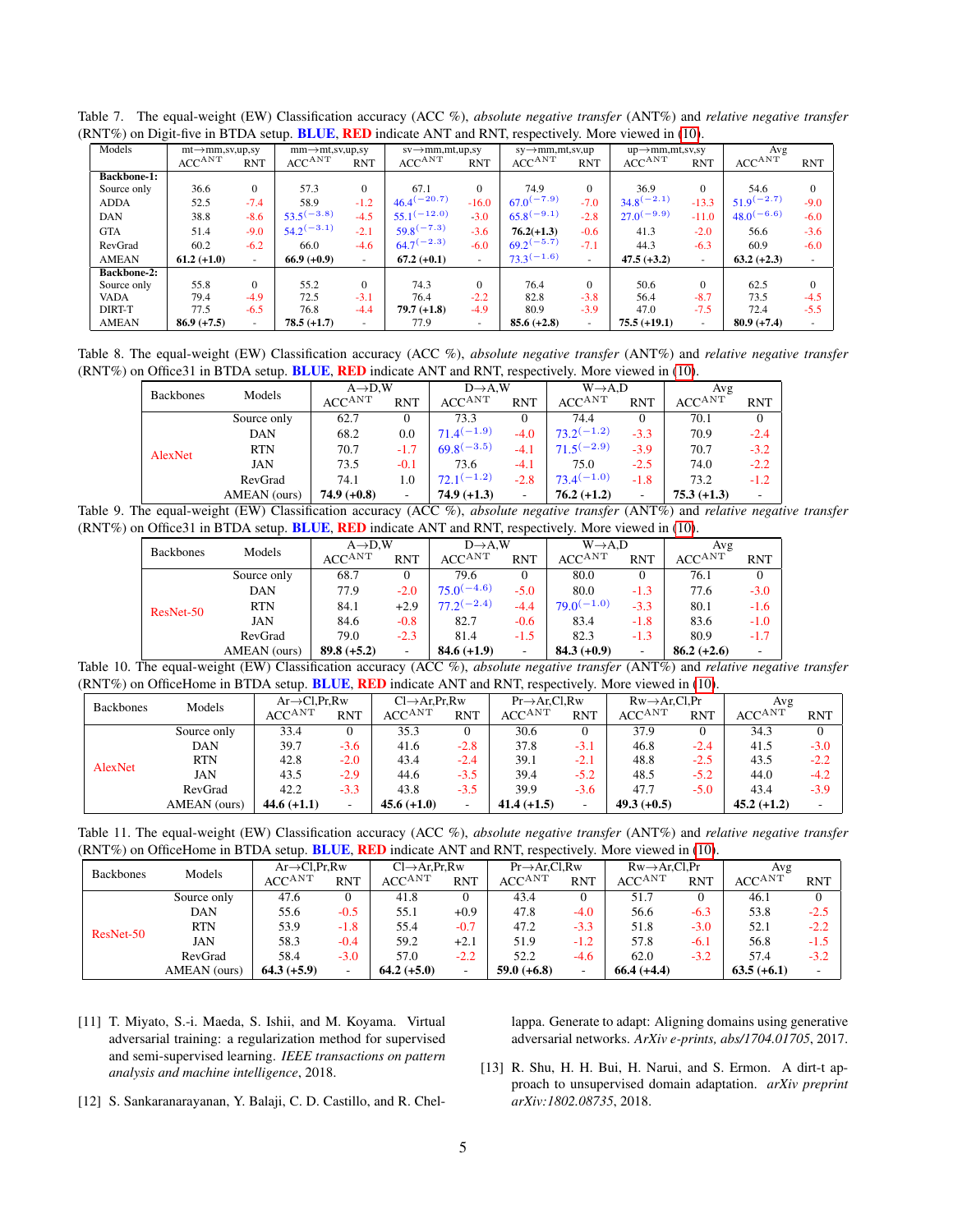| Models             | $mt \rightarrow mm$ , sv, up, sv |            | $mm \rightarrow mt$ , sv, up, sv |                          | $sv \rightarrow mm, mt, up, sv$ |            | $sy \rightarrow mm, mt, sv, up$ |            | $up \rightarrow mm, mt, sv, sv$ |            | Avg             |              |
|--------------------|----------------------------------|------------|----------------------------------|--------------------------|---------------------------------|------------|---------------------------------|------------|---------------------------------|------------|-----------------|--------------|
|                    | $ACC^{ANT}$                      | <b>RNT</b> | $ACC^{ANT}$                      | <b>RNT</b>               | $ACC^{ANT}$                     | <b>RNT</b> | $ACC^{ANT}$                     | <b>RNT</b> | $ACC^{ANT}$                     | <b>RNT</b> | $ACC^{ANT}$     | <b>RNT</b>   |
| <b>Backbone-1:</b> |                                  |            |                                  |                          |                                 |            |                                 |            |                                 |            |                 |              |
| Source only        | 36.6                             | $\Omega$   | 57.3                             | $\Omega$                 | 67.1                            | $\Omega$   | 74.9                            | $\Omega$   | 36.9                            | $\Omega$   | 54.6            | $\mathbf{0}$ |
| <b>ADDA</b>        | 52.5                             | $-7.4$     | 58.9                             | $-1.2$                   | $46.4^{(-20.7)}$                | $-16.0$    | $67.0^{(-7.9)}$                 | $-7.0$     | $34.8^{(-2.1)}$                 | $-13.3$    | $51.9^{(-2.7)}$ | $-9.0$       |
| <b>DAN</b>         | 38.8                             | $-8.6$     | $53.5^{(-3.8)}$                  | $-4.5$                   | $55.1^{(-12.0)}$                | $-3.0$     | $65.8^{(-9.1)}$                 | $-2.8$     | $27.0^{(-9.9)}$                 | $-11.0$    | $48.0^{(-6.6)}$ | $-6.0$       |
| <b>GTA</b>         | 51.4                             | $-9.0$     | $54.2^{(-3.1)}$                  | $-2.1$                   | $59.8^{(-7.3)}$                 | $-3.6$     | $76.2(+1.3)$                    | $-0.6$     | 41.3                            | $-2.0$     | 56.6            | $-3.6$       |
| RevGrad            | 60.2                             | $-6.2$     | 66.0                             | $-4.6$                   | $64.7^{(-2.3)}$                 | $-6.0$     | $69.2^{(-5.7)}$                 | $-7.1$     | 44.3                            | $-6.3$     | 60.9            | $-6.0$       |
| <b>AMEAN</b>       | $61.2 (+1.0)$                    | $\sim$     | $66.9 (+0.9)$                    | $\overline{\phantom{a}}$ | $67.2 (+0.1)$                   | $\sim$     | $73.3^{(-1.6)}$                 | $\sim$     | $47.5 (+3.2)$                   | ٠          | $63.2 (+2.3)$   | $\sim$       |
| <b>Backbone-2:</b> |                                  |            |                                  |                          |                                 |            |                                 |            |                                 |            |                 |              |
| Source only        | 55.8                             | $\Omega$   | 55.2                             | $\Omega$                 | 74.3                            | $\Omega$   | 76.4                            | $\Omega$   | 50.6                            | $\Omega$   | 62.5            | $\Omega$     |
| <b>VADA</b>        | 79.4                             | $-4.9$     | 72.5                             | $-3.1$                   | 76.4                            | $-2.2$     | 82.8                            | $-3.8$     | 56.4                            | $-8.7$     | 73.5            | $-4.5$       |
| DIRT-T             | 77.5                             | $-6.5$     | 76.8                             | $-4.4$                   | $79.7(+1.8)$                    | $-4.9$     | 80.9                            | $-3.9$     | 47.0                            | $-7.5$     | 72.4            | $-5.5$       |
| <b>AMEAN</b>       | $86.9 (+7.5)$                    |            | $78.5 (+1.7)$                    |                          | 77.9                            | $\sim$     | $85.6 (+2.8)$                   | $\sim$     | $75.5 (+19.1)$                  | ۰          | $80.9 (+7.4)$   |              |

<span id="page-4-3"></span>Table 7. The equal-weight (EW) Classification accuracy (ACC %), *absolute negative transfer* (ANT%) and *relative negative transfer* (RNT%) on Digit-five in BTDA setup. BLUE, RED indicate ANT and RNT, respectively. More viewed in [\(10\)](#page-3-10).

Table 8. The equal-weight (EW) Classification accuracy (ACC %), *absolute negative transfer* (ANT%) and *relative negative transfer* (RNT%) on Office31 in BTDA setup. BLUE, RED indicate ANT and RNT, respectively. More viewed in [\(10\)](#page-3-10).

| <b>Backbones</b> | Models       | $A\rightarrow D.W$ |            | $D\rightarrow A,W$ |            | $W\rightarrow A.D$ |            | Avg           |            |
|------------------|--------------|--------------------|------------|--------------------|------------|--------------------|------------|---------------|------------|
|                  |              | $ACC^{ANT}$        | <b>RNT</b> | $ACC^{ANT}$        | <b>RNT</b> | $ACC^{ANT}$        | <b>RNT</b> | $ACC^{ANT}$   | <b>RNT</b> |
|                  | Source only  | 62.7               |            | 73.3               | 0          | 74.4               |            | 70.1          |            |
|                  | DAN          | 68.2               | 0.0        | $71.4(-1.9)$       | $-4.0$     | $73.2^{(-1.2)}$    | $-3.3$     | 70.9          | $-2.4$     |
| AlexNet          | <b>RTN</b>   | 70.7               | $-1.7$     | $69.8^{(-3.5)}$    | $-4.1$     | $71.5^{(-2.9)}$    | $-3.9$     | 70.7          | $-3.2$     |
|                  | <b>JAN</b>   | 73.5               | $-0.1$     | 73.6               | $-4.1$     | 75.0               | $-2.5$     | 74.0          | $-2.2$     |
|                  | RevGrad      | 74.1               | 1.0        | $72.1^{(-1.2)}$    | $-2.8$     | $73.4^{(-1.0)}$    | $-1.8$     | 73.2          | $-1.2$     |
|                  | AMEAN (ours) | $74.9 (+0.8)$      | ۰          | $74.9 (+1.3)$      | ۰          | $76.2 (+1.2)$      |            | $75.3 (+1.3)$ |            |

Table 9. The equal-weight (EW) Classification accuracy (ACC %), *absolute negative transfer* (ANT%) and *relative negative transfer* (RNT%) on Office31 in BTDA setup. BLUE, RED indicate ANT and RNT, respectively. More viewed in [\(10\)](#page-3-10).

| <b>Backbones</b> |              | $A\rightarrow D.W$ |            |                 | $D\rightarrow A.W$ |                 | $W\rightarrow A.D$ | Avg           |            |
|------------------|--------------|--------------------|------------|-----------------|--------------------|-----------------|--------------------|---------------|------------|
|                  | Models       | $ACC^{ANT}$        | <b>RNT</b> | $ACC^{ANT}$     | <b>RNT</b>         | $ACC^{ANT}$     | <b>RNT</b>         | $ACC^{ANT}$   | <b>RNT</b> |
|                  | Source only  | 68.7               | 0          | 79.6            | 0                  | 80.0            | $\Omega$           | 76.1          |            |
|                  | DAN          | 77.9               | $-2.0$     | $75.0^{(-4.6)}$ | $-5.0$             | 80.0            | $-1.3$             | 77.6          | $-3.0$     |
| ResNet-50        | <b>RTN</b>   | 84.1               | $+2.9$     | $77.2^{(-2.4)}$ | $-4.4$             | $79.0^{(-1.0)}$ | $-3.3$             | 80.1          | $-1.6$     |
|                  | <b>JAN</b>   | 84.6               | $-0.8$     | 82.7            | $-0.6$             | 83.4            | $-1.8$             | 83.6          | $-1.0$     |
|                  | RevGrad      | 79.0               | $-2.3$     | 81.4            | $-1.5$             | 82.3            | $-1.3$             | 80.9          | $-1.7$     |
|                  | AMEAN (ours) | $89.8 (+5.2)$      | ٠          | $84.6 (+1.9)$   |                    | $84.3 (+0.9)$   |                    | $86.2 (+2.6)$ |            |

Table 10. The equal-weight (EW) Classification accuracy (ACC %), *absolute negative transfer* (ANT%) and *relative negative transfer* (RNT%) on OfficeHome in BTDA setup. BLUE, RED indicate ANT and RNT, respectively. More viewed in [\(10\)](#page-3-10).

| <b>Backbones</b> |              |               | $Ar \rightarrow Cl.Pr.Rw$ |               | $Cl \rightarrow Ar.Pr.Rw$ |               | $Pr \rightarrow Ar.C1.Rw$ |              | $Rw \rightarrow Ar.C1.Pr$ | Avg                           |            |
|------------------|--------------|---------------|---------------------------|---------------|---------------------------|---------------|---------------------------|--------------|---------------------------|-------------------------------|------------|
|                  | Models       | $ACC^{ANT}$   | <b>RNT</b>                | $ACC^{ANT}$   | <b>RNT</b>                | $ACC^{ANT}$   | <b>RNT</b>                | $ACC^{ANT}$  | <b>RNT</b>                | $\mathrm{ACC}^{\mathrm{ANT}}$ | <b>RNT</b> |
|                  | Source only  | 33.4          | $\mathbf{0}$              | 35.3          |                           | 30.6          |                           | 37.9         |                           | 34.3                          | 0          |
|                  | DAN          | 39.7          | $-3.6$                    | 41.6          | $-2.8$                    | 37.8          | $-3.1$                    | 46.8         | $-2.4$                    | 41.5                          | $-3.0$     |
| AlexNet          | <b>RTN</b>   | 42.8          | $-2.0$                    | 43.4          | $-2.4$                    | 39.1          | $-2.1$                    | 48.8         | $-2.5$                    | 43.5                          | $-2.2$     |
|                  | <b>JAN</b>   | 43.5          | $-2.9$                    | 44.6          | $-3.5$                    | 39.4          | $-5.2$                    | 48.5         | $-5.2$                    | 44.0                          | $-4.2$     |
|                  | RevGrad      | 42.2          | $-3.3$                    | 43.8          | $-3.5$                    | 39.9          | $-3.6$                    | 47.7         | $-5.0$                    | 43.4                          | $-3.9$     |
|                  | AMEAN (ours) | $44.6 (+1.1)$ | ۰.                        | $45.6 (+1.0)$ |                           | $41.4 (+1.5)$ | -                         | $49.3(+0.5)$ |                           | $45.2 (+1.2)$                 | ۰          |

<span id="page-4-4"></span>Table 11. The equal-weight (EW) Classification accuracy (ACC %), *absolute negative transfer* (ANT%) and *relative negative transfer* (RNT%) on OfficeHome in BTDA setup. BLUE, RED indicate ANT and RNT, respectively. More viewed in [\(10\)](#page-3-10).

|                            |              | $Ar \rightarrow Cl.Pr.Rw$ |            |                           |            |                           |            |                           |            |               |            |
|----------------------------|--------------|---------------------------|------------|---------------------------|------------|---------------------------|------------|---------------------------|------------|---------------|------------|
| Models<br><b>Backbones</b> |              |                           |            | $Cl \rightarrow Ar.Pr.Rw$ |            | $Pr \rightarrow Ar.C1.Rw$ |            | $Rw \rightarrow Ar.C1.Pr$ |            | Avg           |            |
|                            |              | $ACC^{ANT}$               | <b>RNT</b> | $ACC^{\rm ANT}$           | <b>RNT</b> | $ACC^{\rm ANT}$           | <b>RNT</b> | $ACC^{ANT}$               | <b>RNT</b> | $ACC^{ANT}$   | <b>RNT</b> |
|                            | Source only  | 47.6                      | 0          | 41.8                      | 0          | 43.4                      | $\Omega$   | 51.7                      |            | 46.1          | $\Omega$   |
|                            | <b>DAN</b>   | 55.6                      | $-0.5$     | 55.1                      | $+0.9$     | 47.8                      | $-4.0$     | 56.6                      | $-6.3$     | 53.8          | $-2.5$     |
|                            | <b>RTN</b>   | 53.9                      | $-1.8$     | 55.4                      | $-0.7$     | 47.2                      | $-3.3$     | 51.8                      | $-3.0$     | 52.1          | $-2.2$     |
| ResNet-50                  | JAN          | 58.3                      | $-0.4$     | 59.2                      | $+2.1$     | 51.9                      | $-1.2$     | 57.8                      | $-6.1$     | 56.8          | $-1.5$     |
|                            | RevGrad      | 58.4                      | $-3.0$     | 57.0                      | $-2.2$     | 52.2                      | -4.6       | 62.0                      | $-3.2$     | 57.4          | $-3.2$     |
|                            | AMEAN (ours) | $64.3 (+5.9)$             | -          | $64.2 (+5.0)$             |            | $59.0 (+6.8)$             | -          | $66.4 (+4.4)$             |            | $63.5 (+6.1)$ | -          |

<span id="page-4-2"></span>[11] T. Miyato, S.-i. Maeda, S. Ishii, and M. Koyama. Virtual adversarial training: a regularization method for supervised and semi-supervised learning. *IEEE transactions on pattern analysis and machine intelligence*, 2018.

lappa. Generate to adapt: Aligning domains using generative adversarial networks. *ArXiv e-prints, abs/1704.01705*, 2017.

- <span id="page-4-1"></span>[13] R. Shu, H. H. Bui, H. Narui, and S. Ermon. A dirt-t approach to unsupervised domain adaptation. *arXiv preprint arXiv:1802.08735*, 2018.
- <span id="page-4-0"></span>[12] S. Sankaranarayanan, Y. Balaji, C. D. Castillo, and R. Chel-